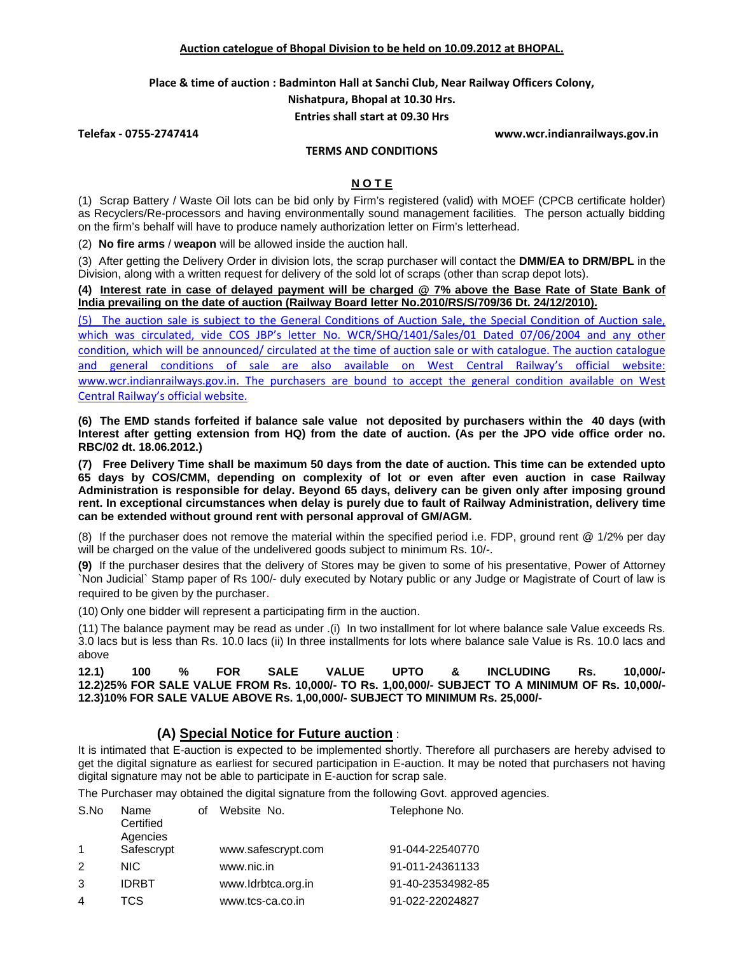**Place & time of auction : Badminton Hall at Sanchi Club, Near Railway Officers Colony,** 

**Nishatpura, Bhopal at 10.30 Hrs.**

**Entries shall start at 09.30 Hrs**

**Telefax ‐ 0755‐2747414 www.wcr.indianrailways.gov.in**

### **TERMS AND CONDITIONS**

## **N O T E**

(1) Scrap Battery / Waste Oil lots can be bid only by Firm's registered (valid) with MOEF (CPCB certificate holder) as Recyclers/Re-processors and having environmentally sound management facilities. The person actually bidding on the firm's behalf will have to produce namely authorization letter on Firm's letterhead.

(2) **No fire arms** / **weapon** will be allowed inside the auction hall.

(3) After getting the Delivery Order in division lots, the scrap purchaser will contact the **DMM/EA to DRM/BPL** in the Division, along with a written request for delivery of the sold lot of scraps (other than scrap depot lots).

**(4) Interest rate in case of delayed payment will be charged @ 7% above the Base Rate of State Bank of India prevailing on the date of auction (Railway Board letter No.2010/RS/S/709/36 Dt. 24/12/2010).** 

(5) The auction sale is subject to the General Conditions of Auction Sale, the Special Condition of Auction sale, which was circulated, vide COS JBP's letter No. WCR/SHQ/1401/Sales/01 Dated 07/06/2004 and any other condition, which will be announced/ circulated at the time of auction sale or with catalogue. The auction catalogue and general conditions of sale are also available on West Central Railway's official website: www.wcr.indianrailways.gov.in. The purchasers are bound to accept the general condition available on West Central Railway's official website.

**(6) The EMD stands forfeited if balance sale value not deposited by purchasers within the 40 days (with Interest after getting extension from HQ) from the date of auction. (As per the JPO vide office order no. RBC/02 dt. 18.06.2012.)** 

**(7) Free Delivery Time shall be maximum 50 days from the date of auction. This time can be extended upto 65 days by COS/CMM, depending on complexity of lot or even after even auction in case Railway Administration is responsible for delay. Beyond 65 days, delivery can be given only after imposing ground rent. In exceptional circumstances when delay is purely due to fault of Railway Administration, delivery time can be extended without ground rent with personal approval of GM/AGM.** 

(8) If the purchaser does not remove the material within the specified period i.e. FDP, ground rent @ 1/2% per day will be charged on the value of the undelivered goods subject to minimum Rs. 10/-.

**(9)** If the purchaser desires that the delivery of Stores may be given to some of his presentative, Power of Attorney `Non Judicial` Stamp paper of Rs 100/- duly executed by Notary public or any Judge or Magistrate of Court of law is required to be given by the purchaser.

(10) Only one bidder will represent a participating firm in the auction.

(11) The balance payment may be read as under .(i) In two installment for lot where balance sale Value exceeds Rs. 3.0 lacs but is less than Rs. 10.0 lacs (ii) In three installments for lots where balance sale Value is Rs. 10.0 lacs and above

**12.1) 100 % FOR SALE VALUE UPTO & INCLUDING Rs. 10,000/- 12.2)25% FOR SALE VALUE FROM Rs. 10,000/- TO Rs. 1,00,000/- SUBJECT TO A MINIMUM OF Rs. 10,000/- 12.3)10% FOR SALE VALUE ABOVE Rs. 1,00,000/- SUBJECT TO MINIMUM Rs. 25,000/-** 

# **(A) Special Notice for Future auction** :

It is intimated that E-auction is expected to be implemented shortly. Therefore all purchasers are hereby advised to get the digital signature as earliest for secured participation in E-auction. It may be noted that purchasers not having digital signature may not be able to participate in E-auction for scrap sale.

The Purchaser may obtained the digital signature from the following Govt. approved agencies.

| S.No           | Name<br>Certified<br>Agencies | οf | Website No.        | Telephone No.     |
|----------------|-------------------------------|----|--------------------|-------------------|
| $\mathbf{1}$   | Safescrypt                    |    | www.safescrypt.com | 91-044-22540770   |
| 2              | NIC.                          |    | www.nic.in         | 91-011-24361133   |
| 3              | <b>IDRBT</b>                  |    | www.Idrbtca.org.in | 91-40-23534982-85 |
| $\overline{4}$ | TCS                           |    | www.tcs-ca.co.in   | 91-022-22024827   |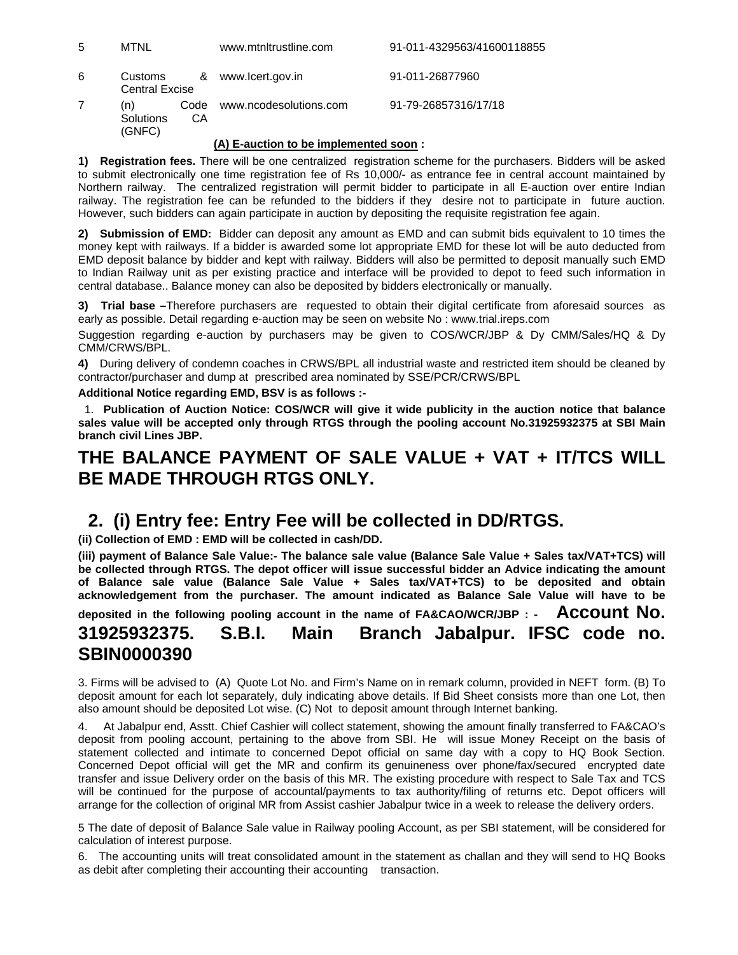| 5 | MTNL                             |    | www.mtnltrustline.com       | 91-011-4329563/41600118855 |
|---|----------------------------------|----|-----------------------------|----------------------------|
| 6 | Customs<br><b>Central Excise</b> |    | & www.lcert.gov.in          | 91-011-26877960            |
|   | (n)<br>Solutions                 | СA | Code www.ncodesolutions.com | 91-79-26857316/17/18       |

#### **(A) E-auction to be implemented soon :**

**1) Registration fees.** There will be one centralized registration scheme for the purchasers. Bidders will be asked to submit electronically one time registration fee of Rs 10,000/- as entrance fee in central account maintained by Northern railway. The centralized registration will permit bidder to participate in all E-auction over entire Indian railway. The registration fee can be refunded to the bidders if they desire not to participate in future auction. However, such bidders can again participate in auction by depositing the requisite registration fee again.

**2) Submission of EMD:** Bidder can deposit any amount as EMD and can submit bids equivalent to 10 times the money kept with railways. If a bidder is awarded some lot appropriate EMD for these lot will be auto deducted from EMD deposit balance by bidder and kept with railway. Bidders will also be permitted to deposit manually such EMD to Indian Railway unit as per existing practice and interface will be provided to depot to feed such information in central database.. Balance money can also be deposited by bidders electronically or manually.

**3) Trial base –**Therefore purchasers are requested to obtain their digital certificate from aforesaid sources as early as possible. Detail regarding e-auction may be seen on website No : www.trial.ireps.com

Suggestion regarding e-auction by purchasers may be given to COS/WCR/JBP & Dy CMM/Sales/HQ & Dy CMM/CRWS/BPL.

**4)** During delivery of condemn coaches in CRWS/BPL all industrial waste and restricted item should be cleaned by contractor/purchaser and dump at prescribed area nominated by SSE/PCR/CRWS/BPL

#### **Additional Notice regarding EMD, BSV is as follows :-**

(GNFC)

 1. **Publication of Auction Notice: COS/WCR will give it wide publicity in the auction notice that balance sales value will be accepted only through RTGS through the pooling account No.31925932375 at SBI Main branch civil Lines JBP.** 

# **THE BALANCE PAYMENT OF SALE VALUE + VAT + IT/TCS WILL BE MADE THROUGH RTGS ONLY.**

# **2. (i) Entry fee: Entry Fee will be collected in DD/RTGS.**

**(ii) Collection of EMD : EMD will be collected in cash/DD.** 

**(iii) payment of Balance Sale Value:- The balance sale value (Balance Sale Value + Sales tax/VAT+TCS) will be collected through RTGS. The depot officer will issue successful bidder an Advice indicating the amount of Balance sale value (Balance Sale Value + Sales tax/VAT+TCS) to be deposited and obtain acknowledgement from the purchaser. The amount indicated as Balance Sale Value will have to be** 

**deposited in the following pooling account in the name of FA&CAO/WCR/JBP : - Account No.** 

# **31925932375. S.B.I. Main Branch Jabalpur. IFSC code no. SBIN0000390**

3. Firms will be advised to (A) Quote Lot No. and Firm's Name on in remark column, provided in NEFT form. (B) To deposit amount for each lot separately, duly indicating above details. If Bid Sheet consists more than one Lot, then also amount should be deposited Lot wise. (C) Not to deposit amount through Internet banking.

4. At Jabalpur end, Asstt. Chief Cashier will collect statement, showing the amount finally transferred to FA&CAO's deposit from pooling account, pertaining to the above from SBI. He will issue Money Receipt on the basis of statement collected and intimate to concerned Depot official on same day with a copy to HQ Book Section. Concerned Depot official will get the MR and confirm its genuineness over phone/fax/secured encrypted date transfer and issue Delivery order on the basis of this MR. The existing procedure with respect to Sale Tax and TCS will be continued for the purpose of accountal/payments to tax authority/filing of returns etc. Depot officers will arrange for the collection of original MR from Assist cashier Jabalpur twice in a week to release the delivery orders.

5 The date of deposit of Balance Sale value in Railway pooling Account, as per SBI statement, will be considered for calculation of interest purpose.

6. The accounting units will treat consolidated amount in the statement as challan and they will send to HQ Books as debit after completing their accounting their accounting transaction.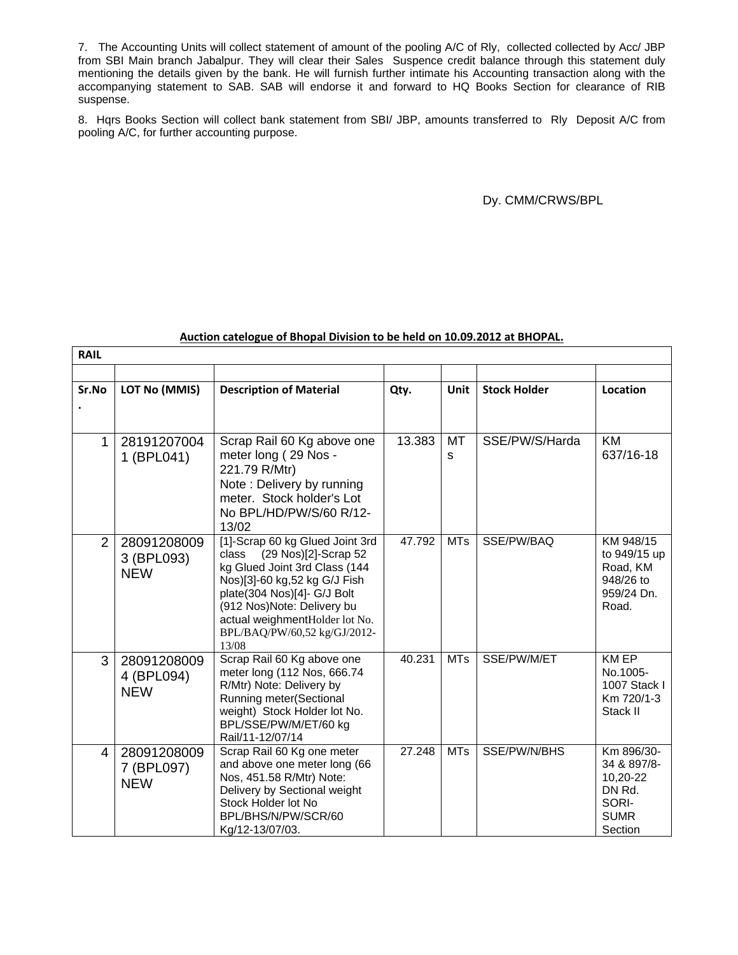7. The Accounting Units will collect statement of amount of the pooling A/C of Rly, collected collected by Acc/ JBP from SBI Main branch Jabalpur. They will clear their Sales Suspence credit balance through this statement duly mentioning the details given by the bank. He will furnish further intimate his Accounting transaction along with the accompanying statement to SAB. SAB will endorse it and forward to HQ Books Section for clearance of RIB suspense.

8. Hqrs Books Section will collect bank statement from SBI/ JBP, amounts transferred to Rly Deposit A/C from pooling A/C, for further accounting purpose.

### Dy. CMM/CRWS/BPL

### **Auction catelogue of Bhopal Division to be held on 10.09.2012 at BHOPAL.**

| <b>RAIL</b>    |                                         |                                                                                                                                                                                                                                                                            |        |            |                     |                                                                                    |
|----------------|-----------------------------------------|----------------------------------------------------------------------------------------------------------------------------------------------------------------------------------------------------------------------------------------------------------------------------|--------|------------|---------------------|------------------------------------------------------------------------------------|
| Sr.No          | LOT No (MMIS)                           | <b>Description of Material</b>                                                                                                                                                                                                                                             | Qty.   | Unit       | <b>Stock Holder</b> | Location                                                                           |
| 1              | 28191207004<br>1 (BPL041)               | Scrap Rail 60 Kg above one<br>meter long (29 Nos -<br>221.79 R/Mtr)<br>Note: Delivery by running<br>meter. Stock holder's Lot<br>No BPL/HD/PW/S/60 R/12-<br>13/02                                                                                                          | 13.383 | МT<br>s    | SSE/PW/S/Harda      | <b>KM</b><br>637/16-18                                                             |
| $\overline{2}$ | 28091208009<br>3 (BPL093)<br><b>NEW</b> | [1]-Scrap 60 kg Glued Joint 3rd<br>(29 Nos)[2]-Scrap 52<br>class<br>kg Glued Joint 3rd Class (144<br>Nos)[3]-60 kg,52 kg G/J Fish<br>plate(304 Nos)[4]- G/J Bolt<br>(912 Nos) Note: Delivery bu<br>actual weighmentHolder lot No.<br>BPL/BAQ/PW/60,52 kg/GJ/2012-<br>13/08 | 47.792 | <b>MTs</b> | SSE/PW/BAQ          | KM 948/15<br>to 949/15 up<br>Road, KM<br>948/26 to<br>959/24 Dn.<br>Road.          |
| 3              | 28091208009<br>4 (BPL094)<br><b>NEW</b> | Scrap Rail 60 Kg above one<br>meter long (112 Nos, 666.74<br>R/Mtr) Note: Delivery by<br>Running meter(Sectional<br>weight) Stock Holder lot No.<br>BPL/SSE/PW/M/ET/60 kg<br>Rail/11-12/07/14                                                                              | 40.231 | <b>MTs</b> | SSE/PW/M/ET         | <b>KM EP</b><br>No.1005-<br>1007 Stack I<br>Km 720/1-3<br>Stack II                 |
| 4              | 28091208009<br>7 (BPL097)<br><b>NEW</b> | Scrap Rail 60 Kg one meter<br>and above one meter long (66<br>Nos, 451.58 R/Mtr) Note:<br>Delivery by Sectional weight<br>Stock Holder lot No<br>BPL/BHS/N/PW/SCR/60<br>Kg/12-13/07/03.                                                                                    | 27.248 | <b>MTs</b> | SSE/PW/N/BHS        | Km 896/30-<br>34 & 897/8-<br>10,20-22<br>DN Rd.<br>SORI-<br><b>SUMR</b><br>Section |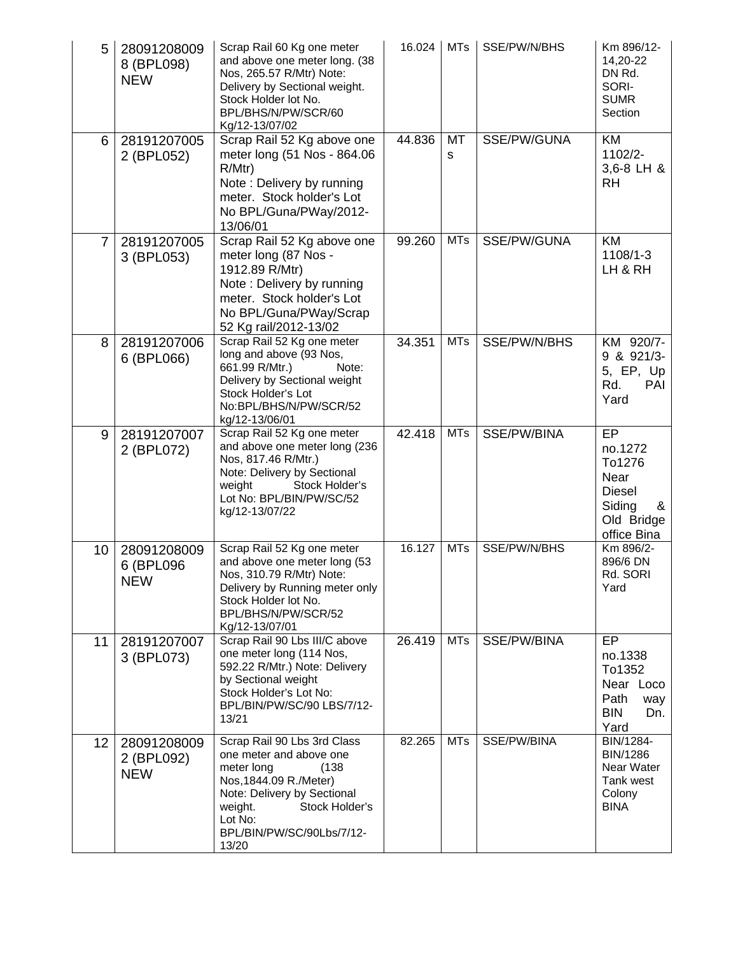| 5              | 28091208009<br>8 (BPL098)<br><b>NEW</b> | Scrap Rail 60 Kg one meter<br>and above one meter long. (38<br>Nos, 265.57 R/Mtr) Note:<br>Delivery by Sectional weight.<br>Stock Holder lot No.<br>BPL/BHS/N/PW/SCR/60<br>Kg/12-13/07/02                            | 16.024 | <b>MTs</b> | SSE/PW/N/BHS | Km 896/12-<br>14,20-22<br>DN Rd.<br>SORI-<br><b>SUMR</b><br>Section                          |
|----------------|-----------------------------------------|----------------------------------------------------------------------------------------------------------------------------------------------------------------------------------------------------------------------|--------|------------|--------------|----------------------------------------------------------------------------------------------|
| 6              | 28191207005<br>2 (BPL052)               | Scrap Rail 52 Kg above one<br>meter long (51 Nos - 864.06<br>R/Mtr)<br>Note: Delivery by running<br>meter. Stock holder's Lot<br>No BPL/Guna/PWay/2012-<br>13/06/01                                                  | 44.836 | MT<br>s    | SSE/PW/GUNA  | <b>KM</b><br>1102/2-<br>3,6-8 LH &<br>RH                                                     |
| $\overline{7}$ | 28191207005<br>3 (BPL053)               | Scrap Rail 52 Kg above one<br>meter long (87 Nos -<br>1912.89 R/Mtr)<br>Note: Delivery by running<br>meter. Stock holder's Lot<br>No BPL/Guna/PWay/Scrap<br>52 Kg rail/2012-13/02                                    | 99.260 | <b>MTs</b> | SSE/PW/GUNA  | <b>KM</b><br>1108/1-3<br>LH & RH                                                             |
| 8              | 28191207006<br>6 (BPL066)               | Scrap Rail 52 Kg one meter<br>long and above (93 Nos,<br>661.99 R/Mtr.)<br>Note:<br>Delivery by Sectional weight<br>Stock Holder's Lot<br>No:BPL/BHS/N/PW/SCR/52<br>kg/12-13/06/01                                   | 34.351 | <b>MTs</b> | SSE/PW/N/BHS | KM 920/7-<br>9 & 921/3-<br>5, EP, Up<br>Rd.<br>PAI<br>Yard                                   |
| 9              | 28191207007<br>2 (BPL072)               | Scrap Rail 52 Kg one meter<br>and above one meter long (236<br>Nos, 817.46 R/Mtr.)<br>Note: Delivery by Sectional<br>weight<br>Stock Holder's<br>Lot No: BPL/BIN/PW/SC/52<br>kg/12-13/07/22                          | 42.418 | <b>MTs</b> | SSE/PW/BINA  | EP<br>no.1272<br>To1276<br>Near<br><b>Diesel</b><br>Siding<br>&<br>Old Bridge<br>office Bina |
| 10             | 28091208009<br>6 (BPL096<br><b>NEW</b>  | Scrap Rail 52 Kg one meter<br>and above one meter long (53<br>Nos, 310.79 R/Mtr) Note:<br>Delivery by Running meter only<br>Stock Holder lot No.<br>BPL/BHS/N/PW/SCR/52<br>Kg/12-13/07/01                            | 16.127 | <b>MTs</b> | SSE/PW/N/BHS | Km 896/2-<br>896/6 DN<br>Rd. SORI<br>Yard                                                    |
| 11             | 28191207007<br>3 (BPL073)               | Scrap Rail 90 Lbs III/C above<br>one meter long (114 Nos,<br>592.22 R/Mtr.) Note: Delivery<br>by Sectional weight<br>Stock Holder's Lot No:<br>BPL/BIN/PW/SC/90 LBS/7/12-<br>13/21                                   | 26.419 | <b>MTs</b> | SSE/PW/BINA  | EP<br>no.1338<br>To1352<br>Near Loco<br>Path<br>way<br><b>BIN</b><br>Dn.<br>Yard             |
| 12             | 28091208009<br>2 (BPL092)<br><b>NEW</b> | Scrap Rail 90 Lbs 3rd Class<br>one meter and above one<br>meter long<br>(138)<br>Nos, 1844.09 R./Meter)<br>Note: Delivery by Sectional<br>Stock Holder's<br>weight.<br>Lot No:<br>BPL/BIN/PW/SC/90Lbs/7/12-<br>13/20 | 82.265 | <b>MTs</b> | SSE/PW/BINA  | BIN/1284-<br>BIN/1286<br>Near Water<br>Tank west<br>Colony<br><b>BINA</b>                    |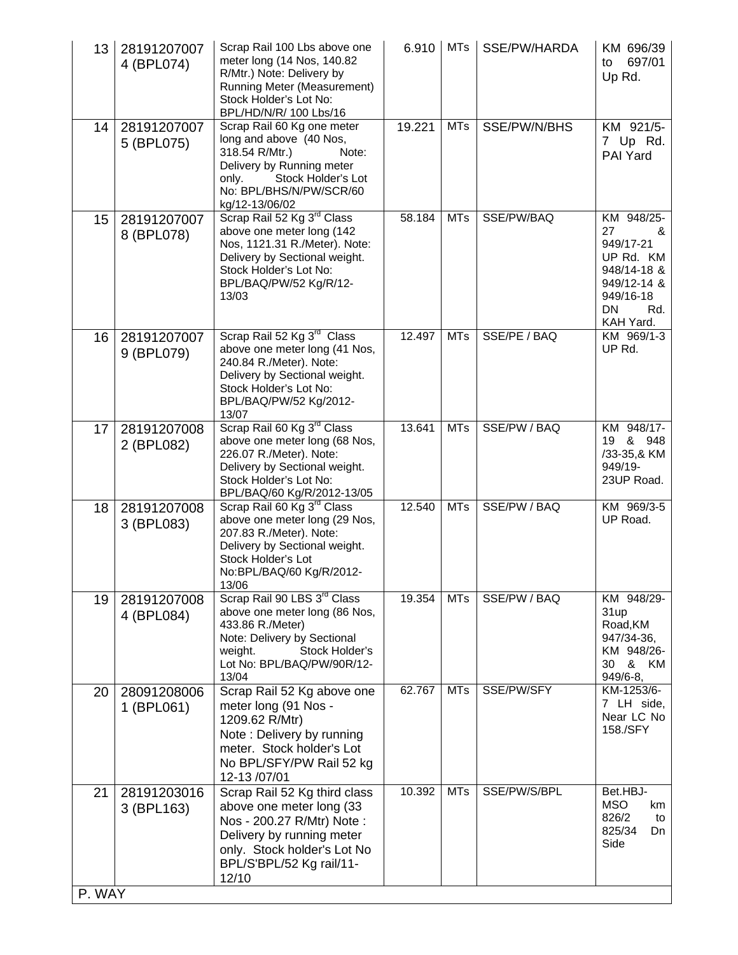| 13           | 28191207007<br>4 (BPL074) | Scrap Rail 100 Lbs above one<br>meter long (14 Nos, 140.82<br>R/Mtr.) Note: Delivery by<br>Running Meter (Measurement)<br>Stock Holder's Lot No:<br>BPL/HD/N/R/ 100 Lbs/16                         | 6.910  | <b>MTs</b> | SSE/PW/HARDA | KM 696/39<br>697/01<br>to<br>Up Rd.                                                                                  |
|--------------|---------------------------|----------------------------------------------------------------------------------------------------------------------------------------------------------------------------------------------------|--------|------------|--------------|----------------------------------------------------------------------------------------------------------------------|
| 14           | 28191207007<br>5 (BPL075) | Scrap Rail 60 Kg one meter<br>long and above (40 Nos,<br>318.54 R/Mtr.)<br>Note:<br>Delivery by Running meter<br>Stock Holder's Lot<br>only.<br>No: BPL/BHS/N/PW/SCR/60<br>kg/12-13/06/02          | 19.221 | <b>MTs</b> | SSE/PW/N/BHS | KM 921/5-<br>7 Up Rd.<br>PAI Yard                                                                                    |
| 15           | 28191207007<br>8 (BPL078) | Scrap Rail 52 Kg 3 <sup>rd</sup> Class<br>above one meter long (142<br>Nos, 1121.31 R./Meter). Note:<br>Delivery by Sectional weight.<br>Stock Holder's Lot No:<br>BPL/BAQ/PW/52 Kg/R/12-<br>13/03 | 58.184 | <b>MTs</b> | SSE/PW/BAQ   | KM 948/25-<br>27<br>&<br>949/17-21<br>UP Rd. KM<br>948/14-18 &<br>949/12-14 &<br>949/16-18<br>DN<br>Rd.<br>KAH Yard. |
| 16           | 28191207007<br>9 (BPL079) | Scrap Rail 52 Kg 3 <sup>rd</sup> Class<br>above one meter long (41 Nos,<br>240.84 R./Meter). Note:<br>Delivery by Sectional weight.<br>Stock Holder's Lot No:<br>BPL/BAQ/PW/52 Kg/2012-<br>13/07   | 12.497 | <b>MTs</b> | SSE/PE / BAQ | KM 969/1-3<br>UP Rd.                                                                                                 |
| 17           | 28191207008<br>2 (BPL082) | Scrap Rail 60 Kg 3 <sup>rd</sup> Class<br>above one meter long (68 Nos,<br>226.07 R./Meter). Note:<br>Delivery by Sectional weight.<br>Stock Holder's Lot No:<br>BPL/BAQ/60 Kg/R/2012-13/05        | 13.641 | <b>MTs</b> | SSE/PW / BAQ | KM 948/17-<br>19 & 948<br>/33-35,& KM<br>949/19-<br>23UP Road.                                                       |
| 18           | 28191207008<br>3 (BPL083) | Scrap Rail 60 Kg 3 <sup>rd</sup> Class<br>above one meter long (29 Nos,<br>207.83 R./Meter). Note:<br>Delivery by Sectional weight.<br>Stock Holder's Lot<br>No:BPL/BAQ/60 Kg/R/2012-<br>13/06     | 12.540 | <b>MTs</b> | SSE/PW / BAQ | KM 969/3-5<br>UP Road.                                                                                               |
| 19           | 28191207008<br>4 (BPL084) | Scrap Rail 90 LBS 3 <sup>rd</sup> Class<br>above one meter long (86 Nos,<br>433.86 R./Meter)<br>Note: Delivery by Sectional<br>weight.<br>Stock Holder's<br>Lot No: BPL/BAQ/PW/90R/12-<br>13/04    | 19.354 | <b>MTs</b> | SSE/PW / BAQ | KM 948/29-<br>31up<br>Road, KM<br>947/34-36,<br>KM 948/26-<br>30 & KM<br>949/6-8,                                    |
| 20           | 28091208006<br>1 (BPL061) | Scrap Rail 52 Kg above one<br>meter long (91 Nos -<br>1209.62 R/Mtr)<br>Note: Delivery by running<br>meter. Stock holder's Lot<br>No BPL/SFY/PW Rail 52 kg<br>12-13/07/01                          | 62.767 | <b>MTs</b> | SSE/PW/SFY   | KM-1253/6-<br>7 LH side,<br>Near LC No<br>158./SFY                                                                   |
| 21<br>P. WAY | 28191203016<br>3 (BPL163) | Scrap Rail 52 Kg third class<br>above one meter long (33<br>Nos - 200.27 R/Mtr) Note :<br>Delivery by running meter<br>only. Stock holder's Lot No<br>BPL/S'BPL/52 Kg rail/11-<br>12/10            | 10.392 | <b>MTs</b> | SSE/PW/S/BPL | Bet.HBJ-<br><b>MSO</b><br>km<br>826/2<br>to<br>825/34<br>Dn<br>Side                                                  |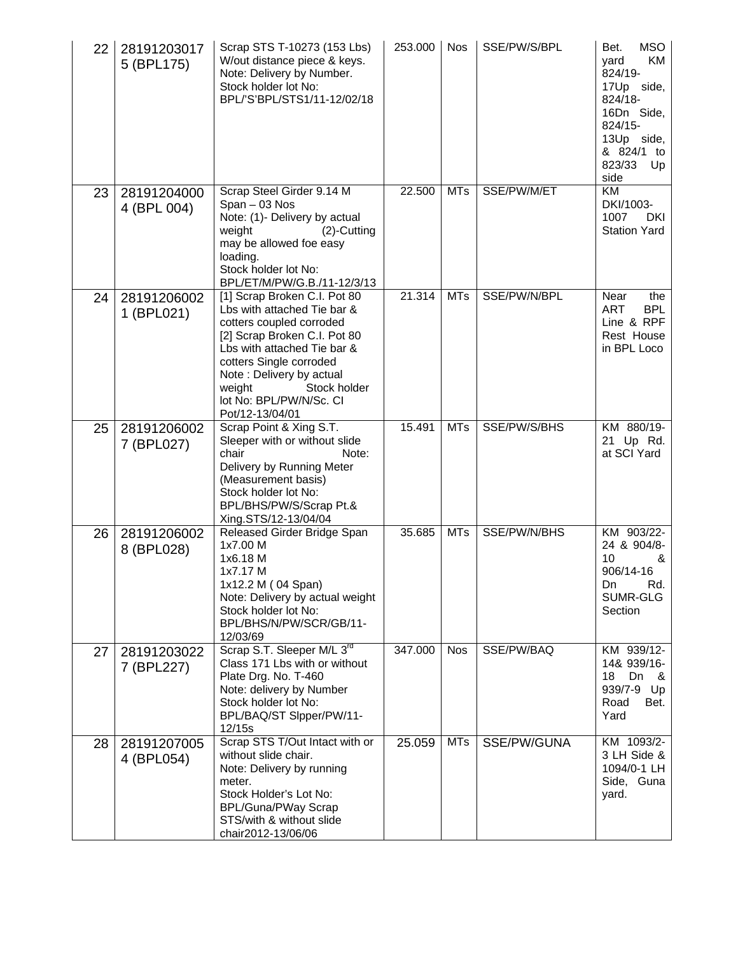| 22 | 28191203017<br>5 (BPL175)  | Scrap STS T-10273 (153 Lbs)<br>W/out distance piece & keys.<br>Note: Delivery by Number.<br>Stock holder lot No:<br>BPL/'S'BPL/STS1/11-12/02/18                                                                                                                                       | 253.000 | <b>Nos</b> | SSE/PW/S/BPL | <b>MSO</b><br>Bet.<br>KM<br>vard<br>824/19-<br>17Up side,<br>824/18-<br>16Dn Side,<br>824/15-<br>13Up side,<br>& 824/1<br>to<br>823/33<br>Up<br>side |
|----|----------------------------|---------------------------------------------------------------------------------------------------------------------------------------------------------------------------------------------------------------------------------------------------------------------------------------|---------|------------|--------------|------------------------------------------------------------------------------------------------------------------------------------------------------|
| 23 | 28191204000<br>4 (BPL 004) | Scrap Steel Girder 9.14 M<br>Span - 03 Nos<br>Note: (1)- Delivery by actual<br>weight<br>$(2)$ -Cutting<br>may be allowed foe easy<br>loading.<br>Stock holder lot No:<br>BPL/ET/M/PW/G.B./11-12/3/13                                                                                 | 22.500  | <b>MTs</b> | SSE/PW/M/ET  | <b>KM</b><br>DKI/1003-<br>1007<br>DKI<br><b>Station Yard</b>                                                                                         |
| 24 | 28191206002<br>1 (BPL021)  | [1] Scrap Broken C.I. Pot 80<br>Lbs with attached Tie bar &<br>cotters coupled corroded<br>[2] Scrap Broken C.I. Pot 80<br>Lbs with attached Tie bar &<br>cotters Single corroded<br>Note: Delivery by actual<br>weight<br>Stock holder<br>lot No: BPL/PW/N/Sc. CI<br>Pot/12-13/04/01 | 21.314  | <b>MTs</b> | SSE/PW/N/BPL | Near<br>the<br><b>ART</b><br><b>BPL</b><br>Line & RPF<br>Rest House<br>in BPL Loco                                                                   |
| 25 | 28191206002<br>7 (BPL027)  | Scrap Point & Xing S.T.<br>Sleeper with or without slide<br>chair<br>Note:<br>Delivery by Running Meter<br>(Measurement basis)<br>Stock holder lot No:<br>BPL/BHS/PW/S/Scrap Pt.&<br>Xing.STS/12-13/04/04                                                                             | 15.491  | <b>MTs</b> | SSE/PW/S/BHS | KM 880/19-<br>21 Up Rd.<br>at SCI Yard                                                                                                               |
| 26 | 28191206002<br>8 (BPL028)  | Released Girder Bridge Span<br>1x7.00 M<br>1x6.18 M<br>1x7.17 M<br>1x12.2 M (04 Span)<br>Note: Delivery by actual weight<br>Stock holder lot No:<br>BPL/BHS/N/PW/SCR/GB/11-<br>12/03/69                                                                                               | 35.685  | <b>MTs</b> | SSE/PW/N/BHS | KM 903/22-<br>24 & 904/8-<br>10<br>&<br>906/14-16<br>Rd.<br>Dn<br>SUMR-GLG<br>Section                                                                |
| 27 | 28191203022<br>7 (BPL227)  | Scrap S.T. Sleeper M/L 3rd<br>Class 171 Lbs with or without<br>Plate Drg. No. T-460<br>Note: delivery by Number<br>Stock holder lot No:<br>BPL/BAQ/ST SIpper/PW/11-<br>12/15s                                                                                                         | 347.000 | <b>Nos</b> | SSE/PW/BAQ   | KM 939/12-<br>14& 939/16-<br>18<br>Dn<br>- &<br>939/7-9<br>Up<br>Road<br>Bet.<br>Yard                                                                |
| 28 | 28191207005<br>4 (BPL054)  | Scrap STS T/Out Intact with or<br>without slide chair.<br>Note: Delivery by running<br>meter.<br>Stock Holder's Lot No:<br><b>BPL/Guna/PWay Scrap</b><br>STS/with & without slide<br>chair2012-13/06/06                                                                               | 25.059  | <b>MTs</b> | SSE/PW/GUNA  | KM 1093/2-<br>3 LH Side &<br>1094/0-1 LH<br>Side, Guna<br>yard.                                                                                      |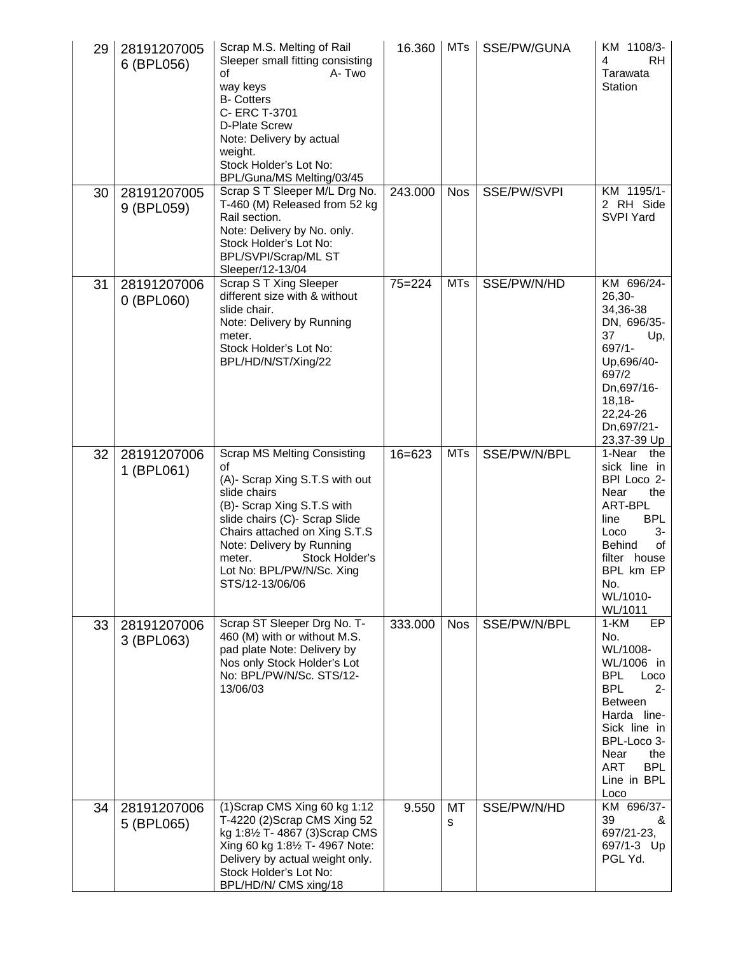| 29 | 28191207005<br>6 (BPL056)   | Scrap M.S. Melting of Rail<br>Sleeper small fitting consisting<br>A-Two<br>οf<br>way keys<br><b>B-</b> Cotters<br>C- ERC T-3701<br>D-Plate Screw<br>Note: Delivery by actual<br>weight.<br>Stock Holder's Lot No:<br>BPL/Guna/MS_Melting/03/45                                                      | 16.360     | <b>MTs</b> | SSE/PW/GUNA  | KM 1108/3-<br>RH.<br>4<br>Tarawata<br><b>Station</b>                                                                                                                                                                      |
|----|-----------------------------|-----------------------------------------------------------------------------------------------------------------------------------------------------------------------------------------------------------------------------------------------------------------------------------------------------|------------|------------|--------------|---------------------------------------------------------------------------------------------------------------------------------------------------------------------------------------------------------------------------|
| 30 | 28191207005<br>9 (BPL059)   | Scrap S T Sleeper M/L Drg No.<br>T-460 (M) Released from 52 kg<br>Rail section.<br>Note: Delivery by No. only.<br>Stock Holder's Lot No:<br>BPL/SVPI/Scrap/ML ST<br>Sleeper/12-13/04                                                                                                                | 243.000    | <b>Nos</b> | SSE/PW/SVPI  | KM 1195/1-<br>2 RH Side<br><b>SVPI Yard</b>                                                                                                                                                                               |
| 31 | 28191207006<br>$0$ (BPL060) | Scrap S T Xing Sleeper<br>different size with & without<br>slide chair.<br>Note: Delivery by Running<br>meter.<br>Stock Holder's Lot No:<br>BPL/HD/N/ST/Xing/22                                                                                                                                     | $75 = 224$ | <b>MTs</b> | SSE/PW/N/HD  | KM 696/24-<br>$26,30-$<br>34,36-38<br>DN, 696/35-<br>37<br>Up,<br>697/1-<br>Up,696/40-<br>697/2<br>Dn,697/16-<br>$18,18-$<br>22,24-26<br>Dn,697/21-<br>23,37-39 Up                                                        |
| 32 | 28191207006<br>1 (BPL061)   | <b>Scrap MS Melting Consisting</b><br>οf<br>(A)- Scrap Xing S.T.S with out<br>slide chairs<br>(B)- Scrap Xing S.T.S with<br>slide chairs (C)- Scrap Slide<br>Chairs attached on Xing S.T.S<br>Note: Delivery by Running<br>Stock Holder's<br>meter.<br>Lot No: BPL/PW/N/Sc. Xing<br>STS/12-13/06/06 | $16 = 623$ | <b>MTs</b> | SSE/PW/N/BPL | 1-Near<br>the<br>sick line in<br>BPI Loco 2-<br>Near<br>the<br>ART-BPL<br><b>BPL</b><br>line<br>Loco<br>3-<br>Behind<br>of<br>filter house<br>BPL km EP<br>No.<br>WL/1010-<br>WL/1011                                     |
| 33 | 28191207006<br>3 (BPL063)   | Scrap ST Sleeper Drg No. T-<br>460 (M) with or without M.S.<br>pad plate Note: Delivery by<br>Nos only Stock Holder's Lot<br>No: BPL/PW/N/Sc. STS/12-<br>13/06/03                                                                                                                                   | 333.000    | <b>Nos</b> | SSE/PW/N/BPL | $1-KM$<br>EP<br>No.<br>WL/1008-<br>WL/1006 in<br><b>BPL</b><br>Loco<br><b>BPL</b><br>2-<br><b>Between</b><br>Harda line-<br>Sick line in<br>BPL-Loco 3-<br>Near<br>the<br><b>ART</b><br><b>BPL</b><br>Line in BPL<br>Loco |
| 34 | 28191207006<br>5 (BPL065)   | (1) Scrap CMS Xing 60 kg 1:12<br>T-4220 (2) Scrap CMS Xing 52<br>kg 1:81/2 T- 4867 (3) Scrap CMS<br>Xing 60 kg 1:81/2 T- 4967 Note:<br>Delivery by actual weight only.<br>Stock Holder's Lot No:<br>BPL/HD/N/ CMS xing/18                                                                           | 9.550      | MT<br>s    | SSE/PW/N/HD  | KM 696/37-<br>39<br>&<br>697/21-23,<br>697/1-3 Up<br>PGL Yd.                                                                                                                                                              |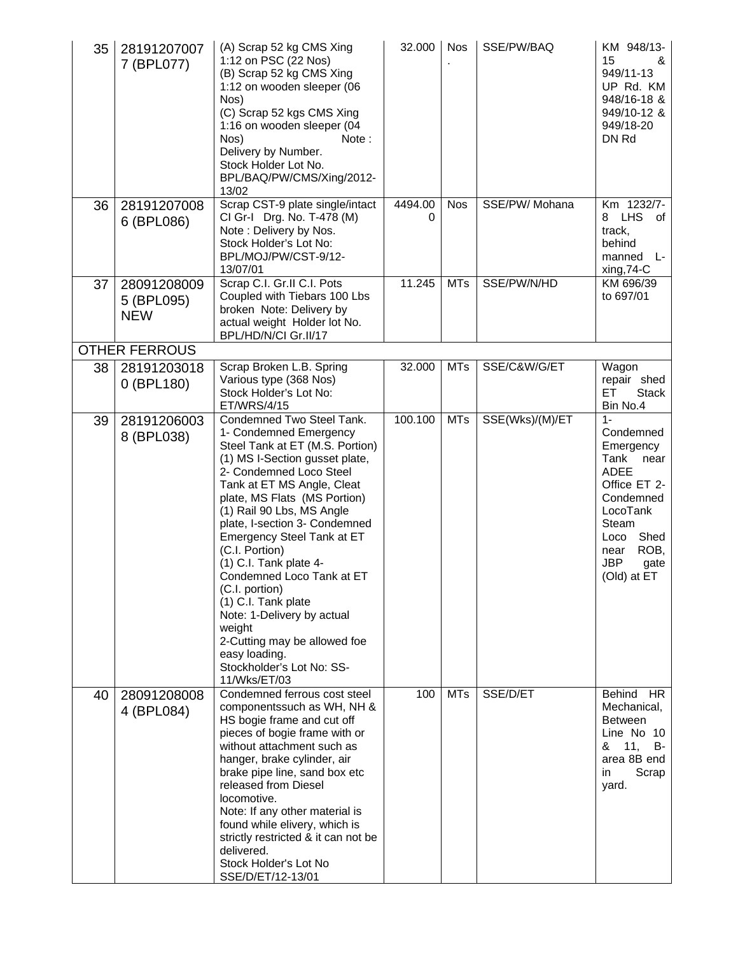| 35 | 28191207007<br>7 (BPL077)               | (A) Scrap 52 kg CMS Xing<br>1:12 on PSC (22 Nos)<br>(B) Scrap 52 kg CMS Xing<br>1:12 on wooden sleeper (06<br>Nos)<br>(C) Scrap 52 kgs CMS Xing<br>1:16 on wooden sleeper (04<br>Nos)<br>Note:<br>Delivery by Number.<br>Stock Holder Lot No.<br>BPL/BAQ/PW/CMS/Xing/2012-<br>13/02                                                                                                                                                                                                                                                                                   | 32.000       | <b>Nos</b> | SSE/PW/BAQ      | KM 948/13-<br>15<br>&<br>949/11-13<br>UP Rd. KM<br>948/16-18 &<br>949/10-12 &<br>949/18-20<br>DN Rd                                                                                   |
|----|-----------------------------------------|-----------------------------------------------------------------------------------------------------------------------------------------------------------------------------------------------------------------------------------------------------------------------------------------------------------------------------------------------------------------------------------------------------------------------------------------------------------------------------------------------------------------------------------------------------------------------|--------------|------------|-----------------|---------------------------------------------------------------------------------------------------------------------------------------------------------------------------------------|
| 36 | 28191207008<br>6 (BPL086)               | Scrap CST-9 plate single/intact<br>CI Gr-I Drg. No. T-478 (M)<br>Note: Delivery by Nos.<br>Stock Holder's Lot No:<br>BPL/MOJ/PW/CST-9/12-<br>13/07/01                                                                                                                                                                                                                                                                                                                                                                                                                 | 4494.00<br>0 | <b>Nos</b> | SSE/PW/ Mohana  | Km 1232/7-<br><b>LHS</b><br>8<br>οf<br>track,<br>behind<br>manned<br>Ŀ<br>xing, 74-C                                                                                                  |
| 37 | 28091208009<br>5 (BPL095)<br><b>NEW</b> | Scrap C.I. Gr.II C.I. Pots<br>Coupled with Tiebars 100 Lbs<br>broken Note: Delivery by<br>actual weight Holder lot No.<br>BPL/HD/N/CI Gr.II/17                                                                                                                                                                                                                                                                                                                                                                                                                        | 11.245       | <b>MTs</b> | SSE/PW/N/HD     | KM 696/39<br>to 697/01                                                                                                                                                                |
|    | <b>OTHER FERROUS</b>                    |                                                                                                                                                                                                                                                                                                                                                                                                                                                                                                                                                                       |              |            |                 |                                                                                                                                                                                       |
| 38 | 28191203018<br>0 (BPL180)               | Scrap Broken L.B. Spring<br>Various type (368 Nos)<br>Stock Holder's Lot No:<br>ET/WRS/4/15                                                                                                                                                                                                                                                                                                                                                                                                                                                                           | 32.000       | <b>MTs</b> | SSE/C&W/G/ET    | Wagon<br>repair shed<br><b>Stack</b><br>EТ<br>Bin No.4                                                                                                                                |
| 39 | 28191206003<br>8 (BPL038)               | Condemned Two Steel Tank.<br>1- Condemned Emergency<br>Steel Tank at ET (M.S. Portion)<br>(1) MS I-Section gusset plate,<br>2- Condemned Loco Steel<br>Tank at ET MS Angle, Cleat<br>plate, MS Flats (MS Portion)<br>(1) Rail 90 Lbs, MS Angle<br>plate, I-section 3- Condemned<br>Emergency Steel Tank at ET<br>(C.I. Portion)<br>(1) C.I. Tank plate 4-<br>Condemned Loco Tank at ET<br>(C.I. portion)<br>(1) C.I. Tank plate<br>Note: 1-Delivery by actual<br>weight<br>2-Cutting may be allowed foe<br>easy loading.<br>Stockholder's Lot No: SS-<br>11/Wks/ET/03 | 100.100      | <b>MTs</b> | SSE(Wks)/(M)/ET | $1 -$<br>Condemned<br>Emergency<br>Tank<br>near<br><b>ADEE</b><br>Office ET 2-<br>Condemned<br>LocoTank<br>Steam<br>Shed<br>Loco<br>ROB,<br>near<br><b>JBP</b><br>gate<br>(Old) at ET |
| 40 | 28091208008<br>4 (BPL084)               | Condemned ferrous cost steel<br>componentssuch as WH, NH &<br>HS bogie frame and cut off<br>pieces of bogie frame with or<br>without attachment such as<br>hanger, brake cylinder, air<br>brake pipe line, sand box etc<br>released from Diesel<br>locomotive.<br>Note: If any other material is<br>found while elivery, which is<br>strictly restricted & it can not be<br>delivered.<br>Stock Holder's Lot No<br>SSE/D/ET/12-13/01                                                                                                                                  | 100          | <b>MTs</b> | SSE/D/ET        | Behind HR<br>Mechanical,<br><b>Between</b><br>Line No 10<br>11,<br>&<br>B-<br>area 8B end<br>Scrap<br>in<br>yard.                                                                     |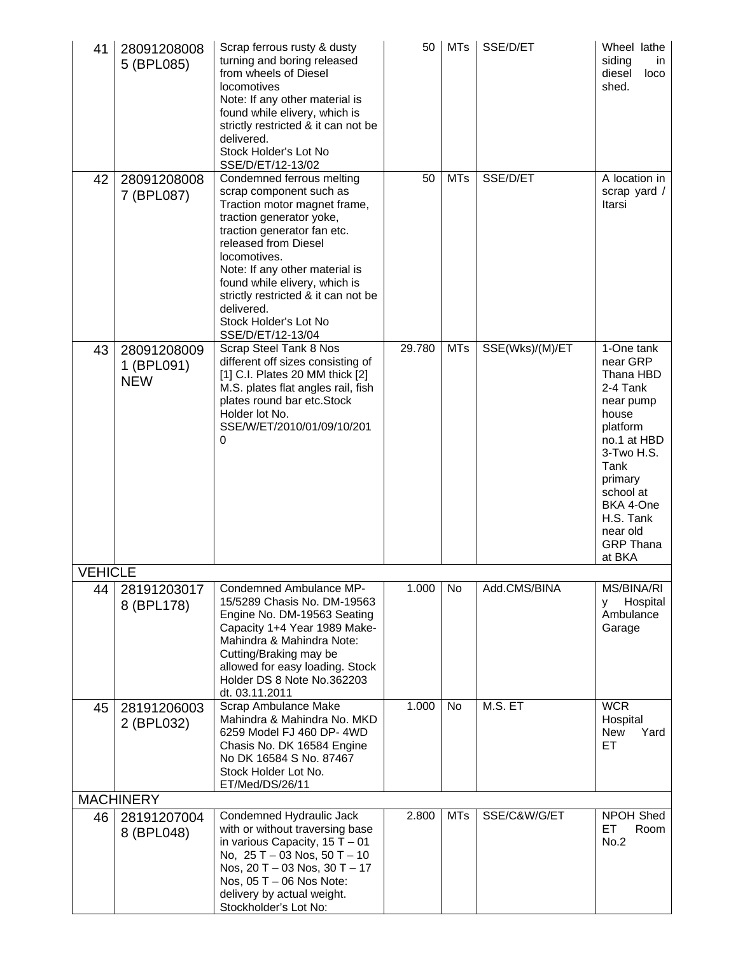| 41             | 28091208008<br>5 (BPL085)               | Scrap ferrous rusty & dusty<br>turning and boring released<br>from wheels of Diesel<br>locomotives<br>Note: If any other material is<br>found while elivery, which is<br>strictly restricted & it can not be<br>delivered.<br>Stock Holder's Lot No<br>SSE/D/ET/12-13/02                                                                                      | 50     | <b>MTs</b> | SSE/D/ET        | Wheel lathe<br>siding<br>in<br>diesel<br>loco<br>shed.                                                                                                                                                             |
|----------------|-----------------------------------------|---------------------------------------------------------------------------------------------------------------------------------------------------------------------------------------------------------------------------------------------------------------------------------------------------------------------------------------------------------------|--------|------------|-----------------|--------------------------------------------------------------------------------------------------------------------------------------------------------------------------------------------------------------------|
| 42             | 28091208008<br>7 (BPL087)               | Condemned ferrous melting<br>scrap component such as<br>Traction motor magnet frame,<br>traction generator yoke,<br>traction generator fan etc.<br>released from Diesel<br>locomotives.<br>Note: If any other material is<br>found while elivery, which is<br>strictly restricted & it can not be<br>delivered.<br>Stock Holder's Lot No<br>SSE/D/ET/12-13/04 | 50     | MTs        | SSE/D/ET        | A location in<br>scrap yard /<br>Itarsi                                                                                                                                                                            |
| 43             | 28091208009<br>1 (BPL091)<br><b>NEW</b> | Scrap Steel Tank 8 Nos<br>different off sizes consisting of<br>[1] C.I. Plates 20 MM thick [2]<br>M.S. plates flat angles rail, fish<br>plates round bar etc.Stock<br>Holder lot No.<br>SSE/W/ET/2010/01/09/10/201<br>0                                                                                                                                       | 29.780 | <b>MTs</b> | SSE(Wks)/(M)/ET | 1-One tank<br>near GRP<br>Thana HBD<br>2-4 Tank<br>near pump<br>house<br>platform<br>no.1 at HBD<br>3-Two H.S.<br>Tank<br>primary<br>school at<br>BKA 4-One<br>H.S. Tank<br>near old<br><b>GRP Thana</b><br>at BKA |
| <b>VEHICLE</b> |                                         |                                                                                                                                                                                                                                                                                                                                                               |        |            |                 |                                                                                                                                                                                                                    |
| 44             | 28191203017<br>8 (BPL178)               | Condemned Ambulance MP-<br>15/5289 Chasis No. DM-19563<br>Engine No. DM-19563 Seating<br>Capacity 1+4 Year 1989 Make-<br>Mahindra & Mahindra Note:<br>Cutting/Braking may be<br>allowed for easy loading. Stock<br>Holder DS 8 Note No.362203<br>dt. 03.11.2011                                                                                               | 1.000  | No         | Add.CMS/BINA    | MS/BINA/RI<br>Hospital<br>y<br>Ambulance<br>Garage                                                                                                                                                                 |
| 45             | 28191206003<br>2 (BPL032)               | Scrap Ambulance Make<br>Mahindra & Mahindra No. MKD<br>6259 Model FJ 460 DP-4WD<br>Chasis No. DK 16584 Engine<br>No DK 16584 S No. 87467<br>Stock Holder Lot No.<br>ET/Med/DS/26/11                                                                                                                                                                           | 1.000  | No         | M.S. ET         | <b>WCR</b><br>Hospital<br>Yard<br><b>New</b><br>ET.                                                                                                                                                                |
|                | <b>MACHINERY</b>                        |                                                                                                                                                                                                                                                                                                                                                               |        |            |                 |                                                                                                                                                                                                                    |
| 46             | 28191207004<br>8 (BPL048)               | Condemned Hydraulic Jack<br>with or without traversing base<br>in various Capacity, $15T - 01$<br>No, $25 T - 03$ Nos, $50 T - 10$<br>Nos, $20 T - 03$ Nos, $30 T - 17$<br>Nos, 05 T - 06 Nos Note:<br>delivery by actual weight.<br>Stockholder's Lot No:                                                                                                    | 2.800  | <b>MTs</b> | SSE/C&W/G/ET    | NPOH Shed<br>ET<br>Room<br>No.2                                                                                                                                                                                    |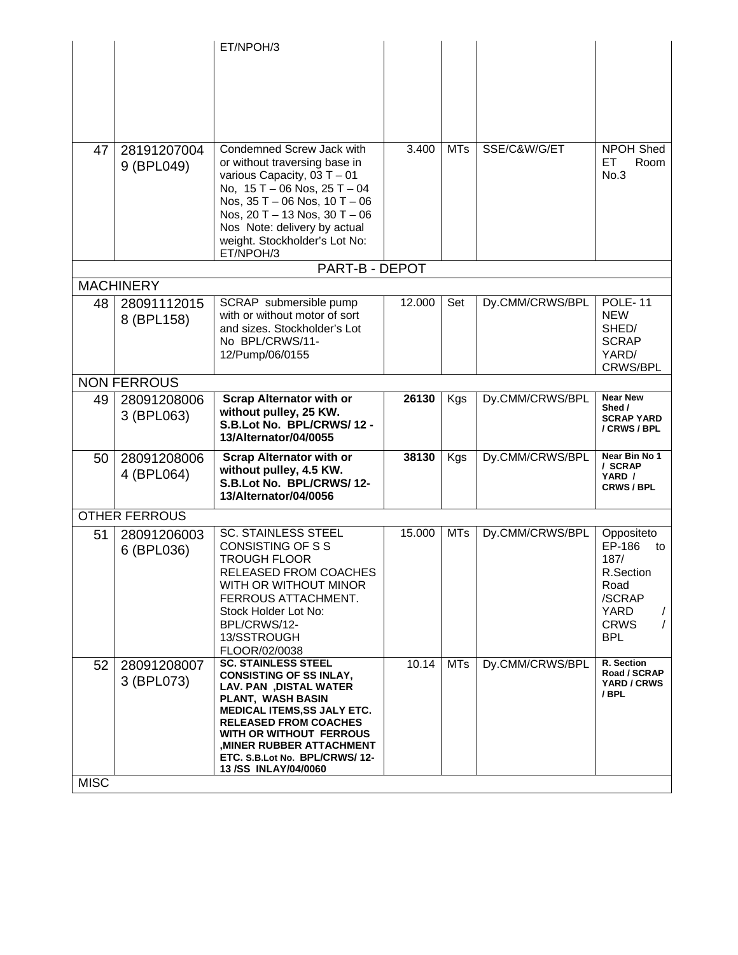|             |                      | ET/NPOH/3                                                             |        |            |                 |                                |
|-------------|----------------------|-----------------------------------------------------------------------|--------|------------|-----------------|--------------------------------|
|             |                      |                                                                       |        |            |                 |                                |
|             |                      |                                                                       |        |            |                 |                                |
|             |                      |                                                                       |        |            |                 |                                |
|             |                      |                                                                       |        |            |                 |                                |
|             |                      |                                                                       |        |            |                 |                                |
| 47          | 28191207004          | Condemned Screw Jack with<br>or without traversing base in            | 3.400  | <b>MTs</b> | SSE/C&W/G/ET    | <b>NPOH Shed</b><br>Room<br>EТ |
|             | 9 (BPL049)           | various Capacity, $03T - 01$                                          |        |            |                 | No.3                           |
|             |                      | No, $15 T - 06$ Nos, $25 T - 04$<br>Nos, $35 T - 06$ Nos, $10 T - 06$ |        |            |                 |                                |
|             |                      | Nos, $20 T - 13$ Nos, $30 T - 06$                                     |        |            |                 |                                |
|             |                      | Nos Note: delivery by actual                                          |        |            |                 |                                |
|             |                      | weight. Stockholder's Lot No:<br>ET/NPOH/3                            |        |            |                 |                                |
|             |                      | PART-B - DEPOT                                                        |        |            |                 |                                |
|             | <b>MACHINERY</b>     |                                                                       |        |            |                 |                                |
| 48          | 28091112015          | SCRAP submersible pump                                                | 12.000 | Set        | Dy.CMM/CRWS/BPL | <b>POLE-11</b>                 |
|             | 8 (BPL158)           | with or without motor of sort<br>and sizes. Stockholder's Lot         |        |            |                 | <b>NEW</b><br>SHED/            |
|             |                      | No BPL/CRWS/11-                                                       |        |            |                 | <b>SCRAP</b>                   |
|             |                      | 12/Pump/06/0155                                                       |        |            |                 | YARD/<br>CRWS/BPL              |
|             | <b>NON FERROUS</b>   |                                                                       |        |            |                 |                                |
| 49          | 28091208006          | <b>Scrap Alternator with or</b>                                       | 26130  | Kgs        | Dy.CMM/CRWS/BPL | <b>Near New</b>                |
|             | 3 (BPL063)           | without pulley, 25 KW.                                                |        |            |                 | Shed /<br><b>SCRAP YARD</b>    |
|             |                      | S.B.Lot No. BPL/CRWS/12 -<br>13/Alternator/04/0055                    |        |            |                 | / CRWS / BPL                   |
| 50          | 28091208006          | <b>Scrap Alternator with or</b>                                       | 38130  | Kgs        | Dy.CMM/CRWS/BPL | Near Bin No 1                  |
|             | 4 (BPL064)           | without pulley, 4.5 KW.                                               |        |            |                 | / SCRAP<br>YARD /              |
|             |                      | S.B.Lot No. BPL/CRWS/12-<br>13/Alternator/04/0056                     |        |            |                 | <b>CRWS/BPL</b>                |
|             | <b>OTHER FERROUS</b> |                                                                       |        |            |                 |                                |
| 51          | 28091206003          | <b>SC. STAINLESS STEEL</b>                                            | 15.000 | <b>MTs</b> | Dy.CMM/CRWS/BPL | Oppositeto                     |
|             | 6 (BPL036)           | <b>CONSISTING OF S S</b>                                              |        |            |                 | EP-186<br>to                   |
|             |                      | <b>TROUGH FLOOR</b><br>RELEASED FROM COACHES                          |        |            |                 | 187/<br>R.Section              |
|             |                      | WITH OR WITHOUT MINOR                                                 |        |            |                 | Road                           |
|             |                      | FERROUS ATTACHMENT.                                                   |        |            |                 | /SCRAP                         |
|             |                      | Stock Holder Lot No:<br>BPL/CRWS/12-                                  |        |            |                 | YARD<br><b>CRWS</b>            |
|             |                      | 13/SSTROUGH                                                           |        |            |                 | <b>BPL</b>                     |
|             |                      | FLOOR/02/0038                                                         |        |            |                 |                                |
| 52          | 28091208007          | <b>SC. STAINLESS STEEL</b><br><b>CONSISTING OF SS INLAY,</b>          | 10.14  | <b>MTs</b> | Dy.CMM/CRWS/BPL | R. Section<br>Road / SCRAP     |
|             | 3 (BPL073)           | <b>LAV. PAN , DISTAL WATER</b>                                        |        |            |                 | YARD / CRWS<br>/ BPL           |
|             |                      | PLANT, WASH BASIN<br><b>MEDICAL ITEMS, SS JALY ETC.</b>               |        |            |                 |                                |
|             |                      | <b>RELEASED FROM COACHES</b>                                          |        |            |                 |                                |
|             |                      | WITH OR WITHOUT FERROUS<br><b>MINER RUBBER ATTACHMENT,</b>            |        |            |                 |                                |
|             |                      | ETC. S.B.Lot No. BPL/CRWS/12-                                         |        |            |                 |                                |
| <b>MISC</b> |                      | <b>13/SS INLAY/04/0060</b>                                            |        |            |                 |                                |
|             |                      |                                                                       |        |            |                 |                                |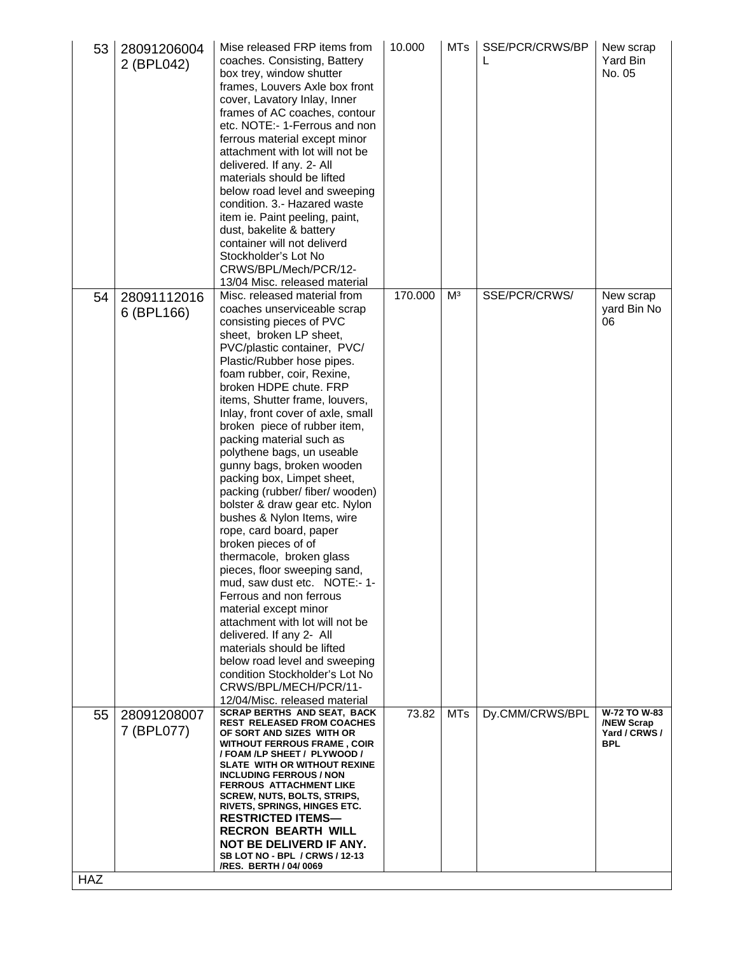| 53  | 28091206004<br>2 (BPL042) | Mise released FRP items from<br>coaches. Consisting, Battery<br>box trey, window shutter<br>frames, Louvers Axle box front<br>cover, Lavatory Inlay, Inner<br>frames of AC coaches, contour<br>etc. NOTE:- 1-Ferrous and non<br>ferrous material except minor<br>attachment with lot will not be<br>delivered. If any. 2- All<br>materials should be lifted<br>below road level and sweeping<br>condition. 3.- Hazared waste<br>item ie. Paint peeling, paint,<br>dust, bakelite & battery<br>container will not deliverd<br>Stockholder's Lot No<br>CRWS/BPL/Mech/PCR/12-<br>13/04 Misc. released material                                                                                                                                                                                                                                                                                                                                                                                        | 10.000  | <b>MTs</b>     | SSE/PCR/CRWS/BP<br>L | New scrap<br>Yard Bin<br>No. 05                                  |
|-----|---------------------------|----------------------------------------------------------------------------------------------------------------------------------------------------------------------------------------------------------------------------------------------------------------------------------------------------------------------------------------------------------------------------------------------------------------------------------------------------------------------------------------------------------------------------------------------------------------------------------------------------------------------------------------------------------------------------------------------------------------------------------------------------------------------------------------------------------------------------------------------------------------------------------------------------------------------------------------------------------------------------------------------------|---------|----------------|----------------------|------------------------------------------------------------------|
| 54  | 28091112016<br>6 (BPL166) | Misc. released material from<br>coaches unserviceable scrap<br>consisting pieces of PVC<br>sheet, broken LP sheet,<br>PVC/plastic container, PVC/<br>Plastic/Rubber hose pipes.<br>foam rubber, coir, Rexine,<br>broken HDPE chute, FRP<br>items, Shutter frame, louvers,<br>Inlay, front cover of axle, small<br>broken piece of rubber item,<br>packing material such as<br>polythene bags, un useable<br>gunny bags, broken wooden<br>packing box, Limpet sheet,<br>packing (rubber/ fiber/ wooden)<br>bolster & draw gear etc. Nylon<br>bushes & Nylon Items, wire<br>rope, card board, paper<br>broken pieces of of<br>thermacole, broken glass<br>pieces, floor sweeping sand,<br>mud, saw dust etc. NOTE:- 1-<br>Ferrous and non ferrous<br>material except minor<br>attachment with lot will not be<br>delivered. If any 2- All<br>materials should be lifted<br>below road level and sweeping<br>condition Stockholder's Lot No<br>CRWS/BPL/MECH/PCR/11-<br>12/04/Misc. released material | 170.000 | M <sup>3</sup> | SSE/PCR/CRWS/        | New scrap<br>yard Bin No<br>06                                   |
| 55  | 28091208007<br>7 (BPL077) | <b>SCRAP BERTHS AND SEAT, BACK</b><br><b>REST RELEASED FROM COACHES</b><br>OF SORT AND SIZES WITH OR<br><b>WITHOUT FERROUS FRAME, COIR</b><br>/ FOAM /LP SHEET / PLYWOOD /<br>SLATE WITH OR WITHOUT REXINE<br><b>INCLUDING FERROUS / NON</b><br><b>FERROUS ATTACHMENT LIKE</b><br><b>SCREW, NUTS, BOLTS, STRIPS,</b><br>RIVETS, SPRINGS, HINGES ETC.<br><b>RESTRICTED ITEMS-</b><br><b>RECRON BEARTH WILL</b><br>NOT BE DELIVERD IF ANY.<br>SB LOT NO - BPL / CRWS / 12-13<br>/RES. BERTH / 04/ 0069                                                                                                                                                                                                                                                                                                                                                                                                                                                                                               | 73.82   | <b>MTs</b>     | Dy.CMM/CRWS/BPL      | W-72 TO W-83<br><b>/NEW Scrap</b><br>Yard / CRWS /<br><b>BPL</b> |
| HAZ |                           |                                                                                                                                                                                                                                                                                                                                                                                                                                                                                                                                                                                                                                                                                                                                                                                                                                                                                                                                                                                                    |         |                |                      |                                                                  |